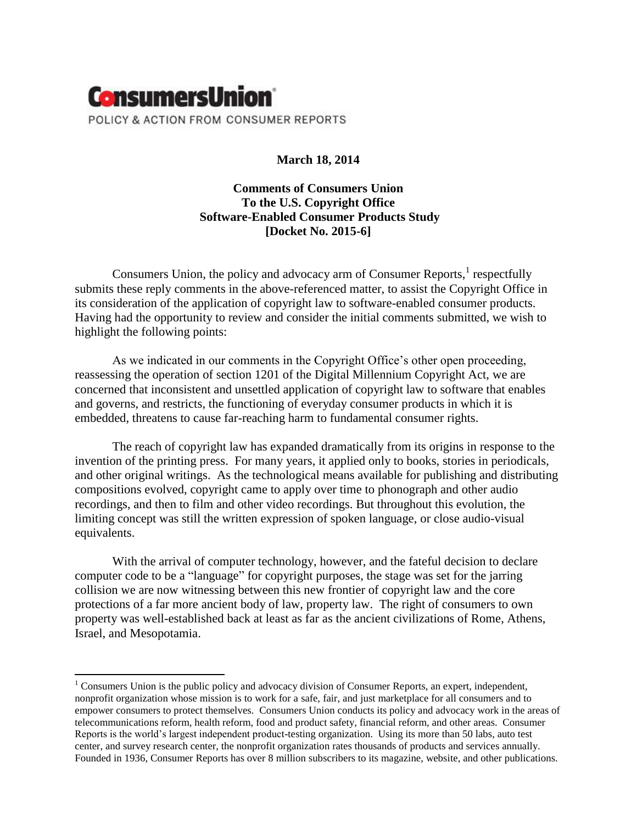

# **March 18, 2014**

# **Comments of Consumers Union To the U.S. Copyright Office Software-Enabled Consumer Products Study [Docket No. 2015-6]**

Consumers Union, the policy and advocacy arm of Consumer Reports, $<sup>1</sup>$  respectfully</sup> submits these reply comments in the above-referenced matter, to assist the Copyright Office in its consideration of the application of copyright law to software-enabled consumer products. Having had the opportunity to review and consider the initial comments submitted, we wish to highlight the following points:

As we indicated in our comments in the Copyright Office's other open proceeding, reassessing the operation of section 1201 of the Digital Millennium Copyright Act, we are concerned that inconsistent and unsettled application of copyright law to software that enables and governs, and restricts, the functioning of everyday consumer products in which it is embedded, threatens to cause far-reaching harm to fundamental consumer rights.

The reach of copyright law has expanded dramatically from its origins in response to the invention of the printing press. For many years, it applied only to books, stories in periodicals, and other original writings. As the technological means available for publishing and distributing compositions evolved, copyright came to apply over time to phonograph and other audio recordings, and then to film and other video recordings. But throughout this evolution, the limiting concept was still the written expression of spoken language, or close audio-visual equivalents.

With the arrival of computer technology, however, and the fateful decision to declare computer code to be a "language" for copyright purposes, the stage was set for the jarring collision we are now witnessing between this new frontier of copyright law and the core protections of a far more ancient body of law, property law. The right of consumers to own property was well-established back at least as far as the ancient civilizations of Rome, Athens, Israel, and Mesopotamia.

 $\overline{\phantom{a}}$ 

<sup>&</sup>lt;sup>1</sup> Consumers Union is the public policy and advocacy division of Consumer Reports, an expert, independent, nonprofit organization whose mission is to work for a safe, fair, and just marketplace for all consumers and to empower consumers to protect themselves. Consumers Union conducts its policy and advocacy work in the areas of telecommunications reform, health reform, food and product safety, financial reform, and other areas. Consumer Reports is the world's largest independent product-testing organization. Using its more than 50 labs, auto test center, and survey research center, the nonprofit organization rates thousands of products and services annually. Founded in 1936, Consumer Reports has over 8 million subscribers to its magazine, website, and other publications.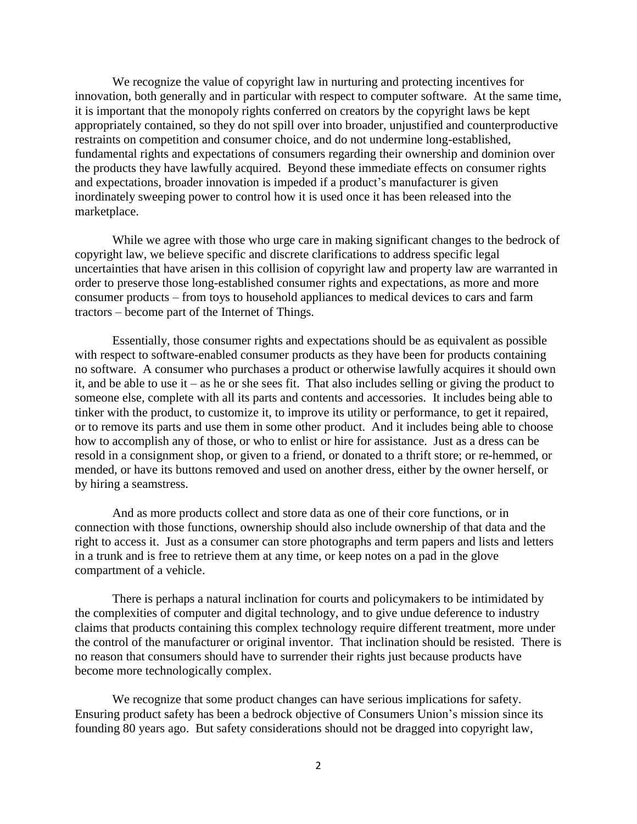We recognize the value of copyright law in nurturing and protecting incentives for innovation, both generally and in particular with respect to computer software. At the same time, it is important that the monopoly rights conferred on creators by the copyright laws be kept appropriately contained, so they do not spill over into broader, unjustified and counterproductive restraints on competition and consumer choice, and do not undermine long-established, fundamental rights and expectations of consumers regarding their ownership and dominion over the products they have lawfully acquired. Beyond these immediate effects on consumer rights and expectations, broader innovation is impeded if a product's manufacturer is given inordinately sweeping power to control how it is used once it has been released into the marketplace.

While we agree with those who urge care in making significant changes to the bedrock of copyright law, we believe specific and discrete clarifications to address specific legal uncertainties that have arisen in this collision of copyright law and property law are warranted in order to preserve those long-established consumer rights and expectations, as more and more consumer products – from toys to household appliances to medical devices to cars and farm tractors – become part of the Internet of Things.

Essentially, those consumer rights and expectations should be as equivalent as possible with respect to software-enabled consumer products as they have been for products containing no software. A consumer who purchases a product or otherwise lawfully acquires it should own it, and be able to use it – as he or she sees fit. That also includes selling or giving the product to someone else, complete with all its parts and contents and accessories. It includes being able to tinker with the product, to customize it, to improve its utility or performance, to get it repaired, or to remove its parts and use them in some other product. And it includes being able to choose how to accomplish any of those, or who to enlist or hire for assistance. Just as a dress can be resold in a consignment shop, or given to a friend, or donated to a thrift store; or re-hemmed, or mended, or have its buttons removed and used on another dress, either by the owner herself, or by hiring a seamstress.

And as more products collect and store data as one of their core functions, or in connection with those functions, ownership should also include ownership of that data and the right to access it. Just as a consumer can store photographs and term papers and lists and letters in a trunk and is free to retrieve them at any time, or keep notes on a pad in the glove compartment of a vehicle.

There is perhaps a natural inclination for courts and policymakers to be intimidated by the complexities of computer and digital technology, and to give undue deference to industry claims that products containing this complex technology require different treatment, more under the control of the manufacturer or original inventor. That inclination should be resisted. There is no reason that consumers should have to surrender their rights just because products have become more technologically complex.

We recognize that some product changes can have serious implications for safety. Ensuring product safety has been a bedrock objective of Consumers Union's mission since its founding 80 years ago. But safety considerations should not be dragged into copyright law,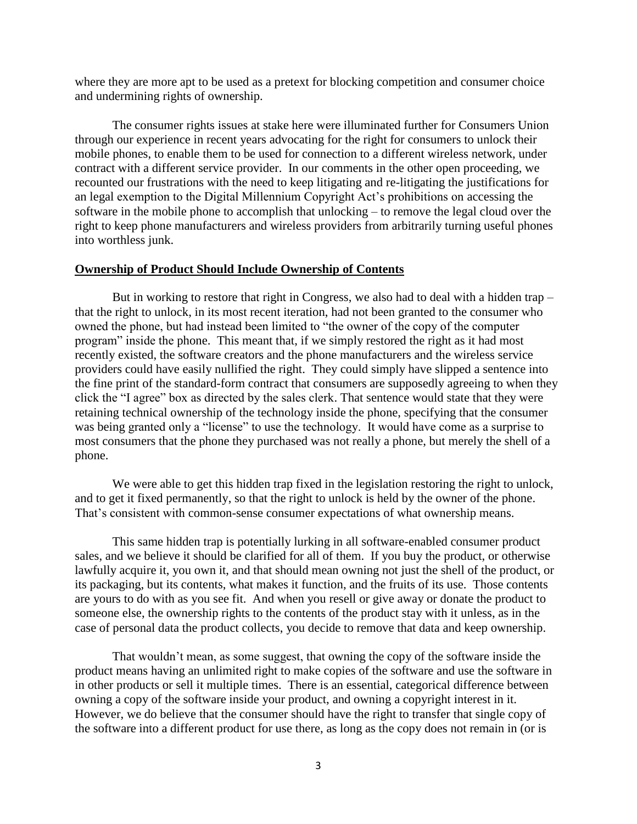where they are more apt to be used as a pretext for blocking competition and consumer choice and undermining rights of ownership.

The consumer rights issues at stake here were illuminated further for Consumers Union through our experience in recent years advocating for the right for consumers to unlock their mobile phones, to enable them to be used for connection to a different wireless network, under contract with a different service provider. In our comments in the other open proceeding, we recounted our frustrations with the need to keep litigating and re-litigating the justifications for an legal exemption to the Digital Millennium Copyright Act's prohibitions on accessing the software in the mobile phone to accomplish that unlocking – to remove the legal cloud over the right to keep phone manufacturers and wireless providers from arbitrarily turning useful phones into worthless junk.

### **Ownership of Product Should Include Ownership of Contents**

But in working to restore that right in Congress, we also had to deal with a hidden trap – that the right to unlock, in its most recent iteration, had not been granted to the consumer who owned the phone, but had instead been limited to "the owner of the copy of the computer program" inside the phone. This meant that, if we simply restored the right as it had most recently existed, the software creators and the phone manufacturers and the wireless service providers could have easily nullified the right. They could simply have slipped a sentence into the fine print of the standard-form contract that consumers are supposedly agreeing to when they click the "I agree" box as directed by the sales clerk. That sentence would state that they were retaining technical ownership of the technology inside the phone, specifying that the consumer was being granted only a "license" to use the technology. It would have come as a surprise to most consumers that the phone they purchased was not really a phone, but merely the shell of a phone.

We were able to get this hidden trap fixed in the legislation restoring the right to unlock, and to get it fixed permanently, so that the right to unlock is held by the owner of the phone. That's consistent with common-sense consumer expectations of what ownership means.

This same hidden trap is potentially lurking in all software-enabled consumer product sales, and we believe it should be clarified for all of them. If you buy the product, or otherwise lawfully acquire it, you own it, and that should mean owning not just the shell of the product, or its packaging, but its contents, what makes it function, and the fruits of its use. Those contents are yours to do with as you see fit. And when you resell or give away or donate the product to someone else, the ownership rights to the contents of the product stay with it unless, as in the case of personal data the product collects, you decide to remove that data and keep ownership.

That wouldn't mean, as some suggest, that owning the copy of the software inside the product means having an unlimited right to make copies of the software and use the software in in other products or sell it multiple times. There is an essential, categorical difference between owning a copy of the software inside your product, and owning a copyright interest in it. However, we do believe that the consumer should have the right to transfer that single copy of the software into a different product for use there, as long as the copy does not remain in (or is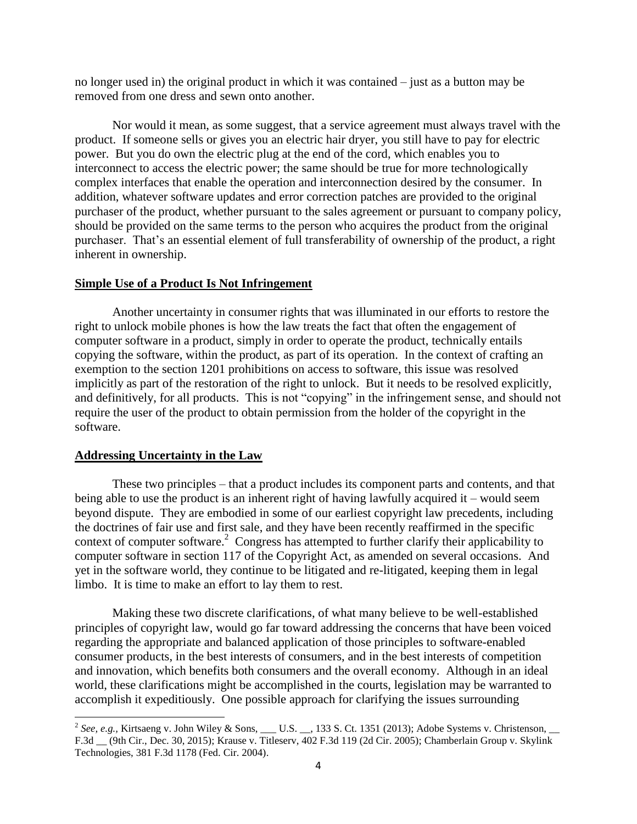no longer used in) the original product in which it was contained – just as a button may be removed from one dress and sewn onto another.

Nor would it mean, as some suggest, that a service agreement must always travel with the product. If someone sells or gives you an electric hair dryer, you still have to pay for electric power. But you do own the electric plug at the end of the cord, which enables you to interconnect to access the electric power; the same should be true for more technologically complex interfaces that enable the operation and interconnection desired by the consumer. In addition, whatever software updates and error correction patches are provided to the original purchaser of the product, whether pursuant to the sales agreement or pursuant to company policy, should be provided on the same terms to the person who acquires the product from the original purchaser. That's an essential element of full transferability of ownership of the product, a right inherent in ownership.

### **Simple Use of a Product Is Not Infringement**

Another uncertainty in consumer rights that was illuminated in our efforts to restore the right to unlock mobile phones is how the law treats the fact that often the engagement of computer software in a product, simply in order to operate the product, technically entails copying the software, within the product, as part of its operation. In the context of crafting an exemption to the section 1201 prohibitions on access to software, this issue was resolved implicitly as part of the restoration of the right to unlock. But it needs to be resolved explicitly, and definitively, for all products. This is not "copying" in the infringement sense, and should not require the user of the product to obtain permission from the holder of the copyright in the software.

#### **Addressing Uncertainty in the Law**

These two principles – that a product includes its component parts and contents, and that being able to use the product is an inherent right of having lawfully acquired it – would seem beyond dispute. They are embodied in some of our earliest copyright law precedents, including the doctrines of fair use and first sale, and they have been recently reaffirmed in the specific context of computer software. 2 Congress has attempted to further clarify their applicability to computer software in section 117 of the Copyright Act, as amended on several occasions. And yet in the software world, they continue to be litigated and re-litigated, keeping them in legal limbo. It is time to make an effort to lay them to rest.

Making these two discrete clarifications, of what many believe to be well-established principles of copyright law, would go far toward addressing the concerns that have been voiced regarding the appropriate and balanced application of those principles to software-enabled consumer products, in the best interests of consumers, and in the best interests of competition and innovation, which benefits both consumers and the overall economy. Although in an ideal world, these clarifications might be accomplished in the courts, legislation may be warranted to accomplish it expeditiously. One possible approach for clarifying the issues surrounding

<sup>&</sup>lt;sup>2</sup> See, e.g., Kirtsaeng v. John Wiley & Sons, \_\_\_ U.S. \_\_, 133 S. Ct. 1351 (2013); Adobe Systems v. Christenson, \_\_ F.3d \_\_ (9th Cir., Dec. 30, 2015); Krause v. Titleserv, 402 F.3d 119 (2d Cir. 2005); Chamberlain Group v. Skylink Technologies, 381 F.3d 1178 (Fed. Cir. 2004).